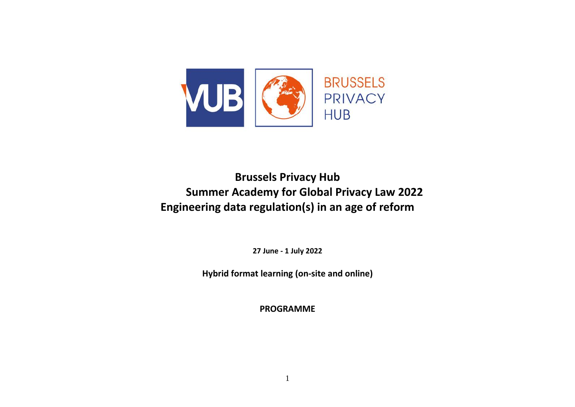

# **Brussels Privacy Hub Summer Academy for Global Privacy Law 2022 Engineering data regulation(s) in an age of reform**

**27 June - 1 July 2022**

**Hybrid format learning (on-site and online)** 

**PROGRAMME**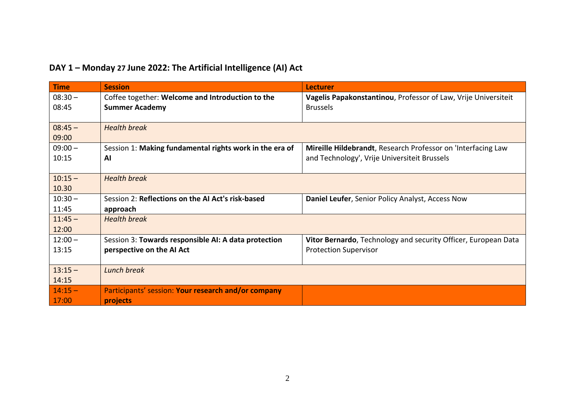| <b>Time</b> | <b>Session</b>                                          | <b>Lecturer</b>                                                |
|-------------|---------------------------------------------------------|----------------------------------------------------------------|
| $08:30 -$   | Coffee together: Welcome and Introduction to the        | Vagelis Papakonstantinou, Professor of Law, Vrije Universiteit |
| 08:45       | <b>Summer Academy</b>                                   | <b>Brussels</b>                                                |
|             |                                                         |                                                                |
| $08:45 -$   | <b>Health break</b>                                     |                                                                |
| 09:00       |                                                         |                                                                |
| $09:00 -$   | Session 1: Making fundamental rights work in the era of | Mireille Hildebrandt, Research Professor on 'Interfacing Law   |
| 10:15       | Al                                                      | and Technology', Vrije Universiteit Brussels                   |
|             |                                                         |                                                                |
| $10:15 -$   | <b>Health break</b>                                     |                                                                |
| 10.30       |                                                         |                                                                |
| $10:30 -$   | Session 2: Reflections on the AI Act's risk-based       | Daniel Leufer, Senior Policy Analyst, Access Now               |
| 11:45       | approach                                                |                                                                |
| $11:45 -$   | <b>Health break</b>                                     |                                                                |
| 12:00       |                                                         |                                                                |
| $12:00 -$   | Session 3: Towards responsible AI: A data protection    | Vitor Bernardo, Technology and security Officer, European Data |
| 13:15       | perspective on the AI Act                               | <b>Protection Supervisor</b>                                   |
|             |                                                         |                                                                |
| $13:15 -$   | Lunch break                                             |                                                                |
| 14:15       |                                                         |                                                                |
| $14:15 -$   | Participants' session: Your research and/or company     |                                                                |
| 17:00       | projects                                                |                                                                |

### **DAY 1 – Monday 27 June 2022: The Artificial Intelligence (AI) Act**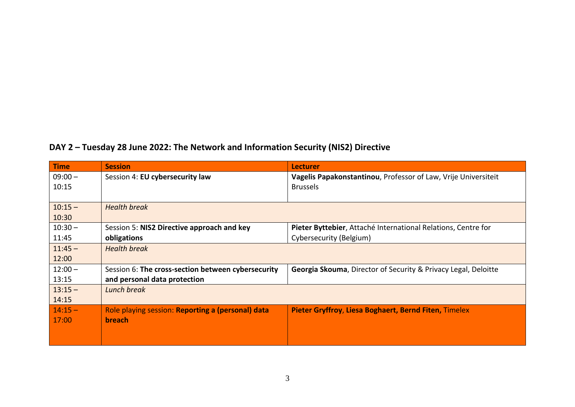## **DAY 2 – Tuesday 28 June 2022: The Network and Information Security (NIS2) Directive**

| <b>Time</b> | <b>Session</b>                                     | <b>Lecturer</b>                                                           |
|-------------|----------------------------------------------------|---------------------------------------------------------------------------|
| $09:00 -$   | Session 4: EU cybersecurity law                    | Vagelis Papakonstantinou, Professor of Law, Vrije Universiteit            |
| 10:15       |                                                    | <b>Brussels</b>                                                           |
|             |                                                    |                                                                           |
| $10:15 -$   | <b>Health break</b>                                |                                                                           |
| 10:30       |                                                    |                                                                           |
| $10:30 -$   | Session 5: NIS2 Directive approach and key         | Pieter Byttebier, Attaché International Relations, Centre for             |
| 11:45       | obligations                                        | Cybersecurity (Belgium)                                                   |
| $11:45 -$   | <b>Health break</b>                                |                                                                           |
| 12:00       |                                                    |                                                                           |
| $12:00 -$   | Session 6: The cross-section between cybersecurity | <b>Georgia Skouma, Director of Security &amp; Privacy Legal, Deloitte</b> |
| 13:15       | and personal data protection                       |                                                                           |
| $13:15 -$   | Lunch break                                        |                                                                           |
| 14:15       |                                                    |                                                                           |
| $14:15 -$   | Role playing session: Reporting a (personal) data  | Pieter Gryffroy, Liesa Boghaert, Bernd Fiten, Timelex                     |
| 17:00       | <b>breach</b>                                      |                                                                           |
|             |                                                    |                                                                           |
|             |                                                    |                                                                           |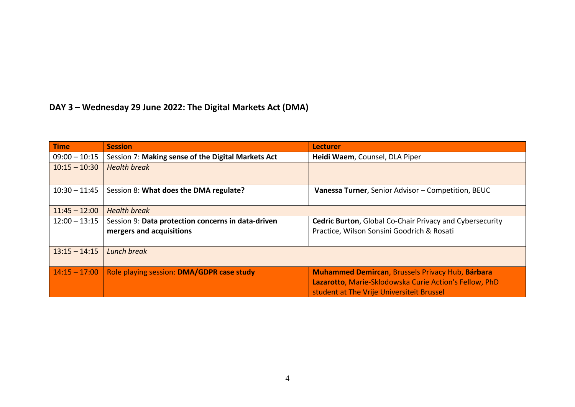## **DAY 3 – Wednesday 29 June 2022: The Digital Markets Act (DMA)**

| <b>Time</b>     | <b>Session</b>                                                                 | <b>Lecturer</b>                                                                                                                                                |
|-----------------|--------------------------------------------------------------------------------|----------------------------------------------------------------------------------------------------------------------------------------------------------------|
| $09:00 - 10:15$ | Session 7: Making sense of the Digital Markets Act                             | Heidi Waem, Counsel, DLA Piper                                                                                                                                 |
| $10:15 - 10:30$ | <b>Health break</b>                                                            |                                                                                                                                                                |
| $10:30 - 11:45$ | Session 8: What does the DMA regulate?                                         | Vanessa Turner, Senior Advisor - Competition, BEUC                                                                                                             |
| $11:45 - 12:00$ | <b>Health break</b>                                                            |                                                                                                                                                                |
| $12:00 - 13:15$ | Session 9: Data protection concerns in data-driven<br>mergers and acquisitions | <b>Cedric Burton, Global Co-Chair Privacy and Cybersecurity</b><br>Practice, Wilson Sonsini Goodrich & Rosati                                                  |
| $13:15 - 14:15$ | Lunch break                                                                    |                                                                                                                                                                |
| $14:15 - 17:00$ | Role playing session: DMA/GDPR case study                                      | <b>Muhammed Demircan, Brussels Privacy Hub, Bárbara</b><br>Lazarotto, Marie-Sklodowska Curie Action's Fellow, PhD<br>student at The Vrije Universiteit Brussel |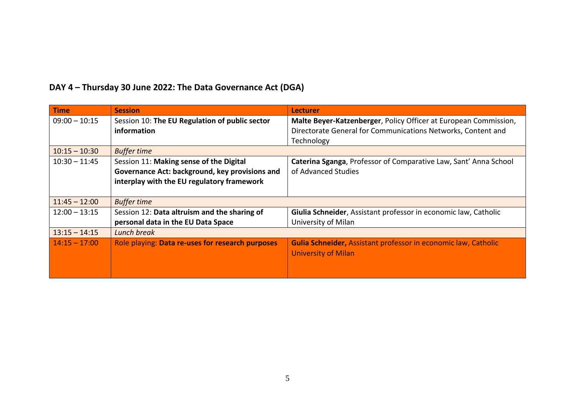| <b>Time</b>     | <b>Session</b>                                   | <b>Lecturer</b>                                                       |
|-----------------|--------------------------------------------------|-----------------------------------------------------------------------|
| $09:00 - 10:15$ | Session 10: The EU Regulation of public sector   | Malte Beyer-Katzenberger, Policy Officer at European Commission,      |
|                 | information                                      | Directorate General for Communications Networks, Content and          |
|                 |                                                  | Technology                                                            |
| $10:15 - 10:30$ | <b>Buffer time</b>                               |                                                                       |
| $10:30 - 11:45$ | Session 11: Making sense of the Digital          | Caterina Sganga, Professor of Comparative Law, Sant' Anna School      |
|                 | Governance Act: background, key provisions and   | of Advanced Studies                                                   |
|                 | interplay with the EU regulatory framework       |                                                                       |
|                 |                                                  |                                                                       |
| $11:45 - 12:00$ | <b>Buffer time</b>                               |                                                                       |
| $12:00 - 13:15$ | Session 12: Data altruism and the sharing of     | Giulia Schneider, Assistant professor in economic law, Catholic       |
|                 | personal data in the EU Data Space               | University of Milan                                                   |
| $13:15 - 14:15$ | Lunch break                                      |                                                                       |
| $14:15 - 17:00$ | Role playing: Data re-uses for research purposes | <b>Gulia Schneider, Assistant professor in economic law, Catholic</b> |
|                 |                                                  | <b>University of Milan</b>                                            |
|                 |                                                  |                                                                       |
|                 |                                                  |                                                                       |

### **DAY 4 – Thursday 30 June 2022: The Data Governance Act (DGA)**